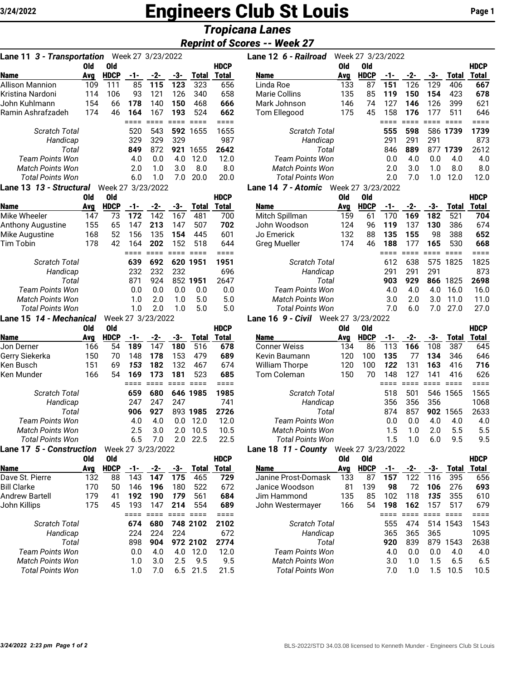# **Engineers Club St Louis Page 1** Page 1

# *Tropicana Lanes*

# *Reprint of Scores -- Week 27*

| Lane 11 3 - Transportation        |            |                    |           | Week 27 3/23/2022 |            |              |                             |
|-----------------------------------|------------|--------------------|-----------|-------------------|------------|--------------|-----------------------------|
|                                   | <b>Old</b> | Old                |           |                   |            |              | <b>HDCP</b>                 |
| Name                              | Avg        | <b>HDCP</b>        | -1-       | $-2-$             | -3-        | <b>Total</b> | <b>Total</b>                |
| <b>Allison Mannion</b>            | 109<br>114 | 111                | 85        | 115<br>121        | 123<br>126 | 323<br>340   | 656                         |
| Kristina Nardoni<br>John Kuhlmann |            | 106<br>66          | 93<br>178 | 140               | 150        | 468          | 658<br>666                  |
| Ramin Ashrafzadeh                 | 154<br>174 | 46                 | 164       | 167               | 193        | 524          | 662                         |
|                                   |            |                    | ====      | $====$            | ====       | $====$       | $===$                       |
| <b>Scratch Total</b>              |            |                    | 520       | 543               | 592        | 1655         | 1655                        |
| Handicap                          |            |                    | 329       | 329               | 329        |              | 987                         |
| Total                             |            |                    | 849       | 872               | 921        | 1655         | 2642                        |
| <b>Team Points Won</b>            |            |                    | 4.0       | 0.0               | 4.0        | 12.0         | 12.0                        |
| <b>Match Points Won</b>           |            |                    | 2.0       | 1.0               | 3.0        | 8.0          | 8.0                         |
| <b>Total Points Won</b>           |            |                    | 6.0       | 1.0               | 7.0        | 20.0         | 20.0                        |
| Lane 13 13 - Structural           |            | Week 27 3/23/2022  |           |                   |            |              |                             |
|                                   | <b>Old</b> | <b>Old</b>         |           |                   |            |              | <b>HDCP</b>                 |
| <b>Name</b>                       | Avg        | <b>HDCP</b>        | $-1-$     | $-2-$             | -3-        | <b>Total</b> | <b>Total</b>                |
| Mike Wheeler                      | 147        | 73                 | 172       | 142               | 167        | 481          | 700                         |
| Anthony Augustine                 | 155        | 65                 | 147       | 213               | 147        | 507          | 702                         |
| Mike Augustine                    | 168        | 52                 | 156       | 135               | 154        | 445          | 601                         |
| Tim Tobin                         | 178        | 42                 | 164       | 202               | 152        | 518          | 644                         |
|                                   |            |                    | ====      | ====              | ====       | $= 100$      | $== ==$                     |
| <b>Scratch Total</b>              |            |                    | 639       | 692               | 620        | 1951         | 1951                        |
| Handicap                          |            |                    | 232       | 232               | 232        |              | 696                         |
| Total                             |            |                    | 871       | 924               |            | 852 1951     | 2647                        |
| <b>Team Points Won</b>            |            |                    | 0.0       | 0.0               | 0.0        | 0.0          | 0.0                         |
| <b>Match Points Won</b>           |            |                    | 1.0       | 2.0               | 1.0        | 5.0          | 5.0                         |
| <b>Total Points Won</b>           |            |                    | 1.0       | 2.0               | 1.0        | 5.0          | 5.0                         |
| Lane 15 14 - Mechanical           |            |                    |           | Week 27 3/23/2022 |            |              |                             |
| <b>Name</b>                       | Old<br>Avg | Old<br><b>HDCP</b> | -1-       | -2-               | -3-        | <b>Total</b> | <b>HDCP</b><br><b>Total</b> |
| Jon Derner                        | 166        | 54                 | 189       | 147               | 180        | 516          | 678                         |
| Gerry Siekerka                    | 150        | 70                 | 148       | 178               | 153        | 479          | 689                         |
| Ken Busch                         | 151        | 69                 | 153       | 182               | 132        | 467          | 674                         |
| Ken Munder                        | 166        | 54                 | 169       | 173               | 181        | 523          | 685                         |
|                                   |            |                    | $====$    | ====              | $====$     | ====         | $====$                      |
| Scratch Total                     |            |                    | 659       | 680               | 646        | 1985         | 1985                        |
| Handicap                          |            |                    | 247       | 247               | 247        |              | 741                         |
| Total                             |            |                    | 906       | 927               | 893        | 1985         | 2726                        |
| <b>Team Points Won</b>            |            |                    | 4.0       | 4.0               | 0.0        | 12.0         | 12.0                        |
| <b>Match Points Won</b>           |            |                    | 2.5       | 3.0               | 2.0        | 10.5         | 10.5                        |
| <b>Total Points Won</b>           |            |                    | 6.5       | 7.0               | 2.0        | 22.5         | 22.5                        |
| Lane 17 5 - Construction          |            |                    |           | Week 27 3/23/2022 |            |              |                             |
|                                   | Old        | Old                |           |                   |            |              | <b>HDCP</b>                 |
| <b>Name</b>                       | Avg        | <b>HDCP</b>        | $-1-$     | $-2-$             | -3-        | <b>Total</b> | <b>Total</b>                |
| Dave St. Pierre                   | 132        | 88                 | 143       | 147               | 175        | 465          | 729                         |
| <b>Bill Clarke</b>                | 170        | 50                 | 146       | 196               | 180        | 522          | 672                         |
| <b>Andrew Bartell</b>             | 179        | 41                 | 192       | 190               | 179        | 561          | 684                         |
| John Killips                      | 175        | 45                 | 193       | 147               | 214        | 554          | 689                         |
|                                   |            |                    | ====      | $=$ $=$ $=$ $=$   | ====       | $====$       | $====$                      |
| <b>Scratch Total</b>              |            |                    | 674       | 680               |            | 748 2102     | 2102                        |
| Handicap                          |            |                    | 224       | 224               | 224        |              | 672                         |
| Total                             |            |                    | 898       | 904               |            | 972 2102     | 2774                        |
| Team Points Won                   |            |                    | 0.0       | 4.0               | 4.0        | 12.0         | 12.0                        |
| <b>Match Points Won</b>           |            |                    | 1.0       | 3.0               | 2.5        | 9.5          | 9.5                         |
| <b>Total Points Won</b>           |            |                    | 1.0       | 7.0               | 6.5        | 21.5         | 21.5                        |

| Lane 11 3 - Transportation |     |                       |     | Week 27 3/23/2022 |     |              |              | Lane 12 6 - Railroad                              |     | Week 27 3/23/2022 |       |     |     |              |              |
|----------------------------|-----|-----------------------|-----|-------------------|-----|--------------|--------------|---------------------------------------------------|-----|-------------------|-------|-----|-----|--------------|--------------|
|                            | 0ld | 0ld                   |     |                   |     |              | <b>HDCP</b>  |                                                   | 0ld | 0ld               |       |     |     |              | <b>HDCP</b>  |
| <b>Name</b>                | Avg | <b>HDCP</b>           | -1- | -2-               | -3- | <b>Total</b> | <b>Total</b> | <b>Name</b>                                       | Avg | <b>HDCP</b>       | $-1-$ | -2- | -3- | <b>Total</b> | <b>Total</b> |
| Allison Mannion            | 109 | 111                   | 85  | 115               | 123 | 323          | 656          | Linda Roe                                         | 133 | 87                | 151   | 126 | 129 | 406          | 667          |
| Kristina Nardoni           | 114 | 106                   | 93  | 121               | 126 | 340          | 658          | <b>Marie Collins</b>                              | 135 | 85                | 119   | 150 | 154 | 423          | 678          |
| John Kuhlmann              | 154 | 66                    | 178 | 140               | 150 | 468          | 666          | Mark Johnson                                      | 146 | 74                | 127   | 146 | 126 | 399          | 621          |
| Ramin Ashrafzadeh          | 174 | 46                    | 164 | 167               | 193 | 524          | 662          | Tom Ellegood                                      | 175 | 45                | 158   | 176 | 177 | 511          | 646          |
|                            |     |                       |     |                   |     |              |              |                                                   |     |                   |       |     |     |              |              |
| <b>Scratch Total</b>       |     |                       | 520 | 543               |     | 592 1655     | 1655         | <b>Scratch Total</b>                              |     |                   | 555   | 598 |     | 586 1739     | 1739         |
| Handicap                   |     |                       | 329 | 329               | 329 |              | 987          | Handicap                                          |     |                   | 291   | 291 | 291 |              | 873          |
| Total                      |     |                       | 849 | 872               | 921 | 1655         | 2642         | Total                                             |     |                   | 846   | 889 | 877 | 1739         | 2612         |
| Team Points Won            |     |                       | 4.0 | 0.0               | 4.0 | 12.0         | 12.0         | Team Points Won                                   |     |                   | 0.0   | 4.0 | 0.0 | 4.0          | 4.0          |
| <b>Match Points Won</b>    |     |                       | 2.0 | 1.0               | 3.0 | 8.0          | 8.0          | <b>Match Points Won</b>                           |     |                   | 2.0   | 3.0 | 1.0 | 8.0          | 8.0          |
| <b>Total Points Won</b>    |     |                       | 6.0 | 1.0               | 7.0 | 20.0         | 20.0         | <b>Total Points Won</b>                           |     |                   | 2.0   | 7.0 | 1.0 | 12.0         | 12.0         |
| $10.10 \, \text{O}$        |     | $111 - 1.07.01001000$ |     |                   |     |              |              | $7.44 \, \text{m/s}$ $W_{\text{c}}$ , $07.200000$ |     |                   |       |     |     |              |              |

#### **Lane 14** *7 - Atomic* Week 27 3/23/2022

|                         | Old | 0ld         |     |     |     |              | <b>HDCP</b> |                         | 0ld | 0ld         |     |     |     |       | <b>HDCP</b> |
|-------------------------|-----|-------------|-----|-----|-----|--------------|-------------|-------------------------|-----|-------------|-----|-----|-----|-------|-------------|
| <b>Name</b>             | Avg | <b>HDCP</b> | -1- | -2- | -3- | <b>Total</b> | Total       | <b>Name</b>             | Avg | <b>HDCP</b> |     | -2- | -3- | Total | Total       |
| Mike Wheeler            | 147 | 73          | 172 | 142 | 167 | 481          | 700         | Mitch Spillman          | 159 | 61          | 70  | 169 | 182 | 521   | 704         |
| Anthony Augustine       | 155 | 65          | 147 | 213 | 147 | 507          | 702         | John Woodson            | 124 | 96          | 119 | 137 | 130 | 386   | 674         |
| Mike Augustine          | 168 | 52          | 156 | 135 | 154 | 445          | 601         | Jo Emerick              | 132 | 88          | 135 | 155 | 98  | 388   | 652         |
| Tim Tobin               | 178 | 42          | 164 | 202 | 152 | 518          | 644         | <b>Greg Mueller</b>     | 174 | 46          | 188 | 177 | 165 | 530   | 668         |
|                         |     |             |     |     |     |              |             |                         |     |             |     |     |     |       |             |
| <b>Scratch Total</b>    |     |             | 639 | 692 |     | 620 1951     | 1951        | Scratch Total           |     |             | 612 | 638 | 575 | 1825  | 1825        |
| Handicap                |     |             | 232 | 232 | 232 |              | 696         | Handicap                |     |             | 291 | 291 | 291 |       | 873         |
| Total                   |     |             | 871 | 924 | 852 | 1951         | 2647        | Total                   |     |             | 903 | 929 | 866 | 1825  | 2698        |
| <b>Team Points Won</b>  |     |             | 0.0 | 0.0 | 0.0 | 0.0          | 0.0         | Team Points Won         |     |             | 4.0 | 4.0 | 4.0 | 16.0  | 16.0        |
| <b>Match Points Won</b> |     |             | 1.0 | 2.0 | 1.0 | 5.0          | 5.0         | <b>Match Points Won</b> |     |             | 3.0 | 2.0 | 3.0 | 11.0  | 11.0        |
| <b>Total Points Won</b> |     |             | 1.0 | 2.0 | 1.0 | 5.0          | 5.0         | Total Points Won        |     |             | 7.0 | 6.0 | 7.0 | 27.0  | 27.0        |
|                         |     |             |     |     |     |              |             |                         |     |             |     |     |     |       |             |

#### **Lane 16** *9 - Civil* Week 27 3/23/2022

|                         | Old | 0ld         |     |     |      |          | <b>HDCP</b> |                         | Old | 0ld         |     |        |     |       | <b>HDCP</b> |
|-------------------------|-----|-------------|-----|-----|------|----------|-------------|-------------------------|-----|-------------|-----|--------|-----|-------|-------------|
| <b>Name</b>             | Ava | <b>HDCP</b> | -1- | -2- | -3-  | Total    | Total       | <b>Name</b>             | Avg | <b>HDCP</b> | -1- | -2-    | -3- | Total | Total       |
| Jon Derner              | 166 | 54          | 189 | 147 | 180  | 516      | 678         | <b>Conner Weiss</b>     | 134 | 86          | 13  | 166    | 108 | 387   | 645         |
| Gerry Siekerka          | 150 | 70          | 148 | 178 | 153  | 479      | 689         | Kevin Baumann           | 120 | 100         | 135 |        | 134 | 346   | 646         |
| Ken Busch               | 151 | 69          | 153 | 182 | 132  | 467      | 674         | <b>William Thorpe</b>   | 120 | 100         | 122 | 131    | 163 | 416   | 716         |
| Ken Munder              | 166 | 54          | 169 | 173 | 181  | 523      | 685         | Tom Coleman             | 150 | 70          | 148 | 127    | 141 | 416   | 626         |
|                         |     |             |     |     |      |          |             |                         |     |             |     |        |     |       |             |
| <b>Scratch Total</b>    |     |             | 659 | 680 |      | 646 1985 | 1985        | <b>Scratch Total</b>    |     |             | 518 | 501    | 546 | 1565  | 1565        |
| Handicap                |     |             | 247 | 247 | 247  |          | 741         | Handicap                |     |             | 356 | 356    | 356 |       | 1068        |
| Total                   |     |             | 906 | 927 | 893  | 1985     | 2726        | Total                   |     |             | 874 | 857    | 902 | 1565  | 2633        |
| <b>Team Points Won</b>  |     |             | 4.0 | 4.0 | 0.0  | 12.0     | 12.0        | Team Points Won         |     |             | 0.0 | 0.0    | 4.0 | 4.0   | 4.0         |
| <b>Match Points Won</b> |     |             | 2.5 | 3.0 | 2.0  | 10.5     | 10.5        | <b>Match Points Won</b> |     |             | 1.5 | 1.0    | 2.0 | 5.5   | 5.5         |
| Total Points Won        |     |             | 6.5 | '.O | 2.0. | 22.5     | 22.5        | Total Points Won        |     |             | 1.5 | $\Box$ | 6.0 | 9.5   | 9.5         |
|                         |     |             |     |     |      |          |             |                         |     |             |     |        |     |       |             |

## **Lane 18** *11 - County* Week 27 3/23/2022

|                         | Old | Old         |     |     |     |          | <b>HDCP</b> |                         | Old | 0ld         |      |     |     |          | <b>HDCP</b> |
|-------------------------|-----|-------------|-----|-----|-----|----------|-------------|-------------------------|-----|-------------|------|-----|-----|----------|-------------|
| <b>Name</b>             | Avg | <b>HDCP</b> | -1- | -2- | -3- | Total    | Total       | <b>Name</b>             | Avg | <b>HDCP</b> | $-1$ | -2- | -3- | Total    | Total       |
| Dave St. Pierre         | 132 | 88          | 143 | 147 | 175 | 465      | 729         | Janine Prost-Domask     | 133 | 87          | 157  | 122 | 116 | 395      | 656         |
| Bill Clarke             | 170 | 50          | 146 | 196 | 180 | 522      | 672         | Janice Woodson          | 81  | 139         | 98   | 72  | 106 | 276      | 693         |
| Andrew Bartell          | 179 | 41          | 192 | 190 | 179 | 561      | 684         | Jim Hammond             | 135 | 85          | 102  | 118 | 135 | 355      | 610         |
| John Killips            | 175 | 45          | 193 | 147 | 214 | 554      | 689         | John Westermayer        | 166 | 54          | 198  | 162 | 157 | 517      | 679         |
|                         |     |             |     |     |     |          |             |                         |     |             |      |     |     |          |             |
| <b>Scratch Total</b>    |     |             | 674 | 680 |     | 748 2102 | 2102        | <b>Scratch Total</b>    |     |             | 555  | 474 |     | 514 1543 | 1543        |
| Handicap                |     |             | 224 | 224 | 224 |          | 672         | Handicap                |     |             | 365  | 365 | 365 |          | 1095        |
| Total                   |     |             | 898 | 904 |     | 972 2102 | 2774        | Total                   |     |             | 920  | 839 | 879 | 1543     | 2638        |
| <b>Team Points Won</b>  |     |             | 0.0 | 4.0 | 4.0 | 12.0     | 12.0        | Team Points Won         |     |             | 4.0  | 0.0 | 0.0 | 4.0      | 4.0         |
| Match Points Won        |     |             | 1.0 | 3.0 | 2.5 | 9.5      | 9.5         | <b>Match Points Won</b> |     |             | 3.0  | 1.0 | 1.5 | 6.5      | 6.5         |
| <b>Total Points Won</b> |     |             | 1.0 |     | 6.5 | 21.5     | 21.5        | <b>Total Points Won</b> |     |             | 7.0  | 1.0 | .5  | 10.5     | 10.5        |
|                         |     |             |     |     |     |          |             |                         |     |             |      |     |     |          |             |